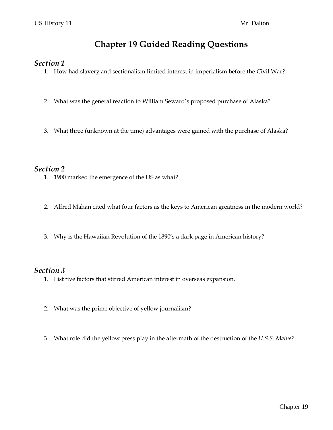# **Chapter 19 Guided Reading Questions**

#### *Section 1*

- 1. How had slavery and sectionalism limited interest in imperialism before the Civil War?
- 2. What was the general reaction to William Seward's proposed purchase of Alaska?
- 3. What three (unknown at the time) advantages were gained with the purchase of Alaska?

### *Section 2*

- 1. 1900 marked the emergence of the US as what?
- 2. Alfred Mahan cited what four factors as the keys to American greatness in the modern world?
- 3. Why is the Hawaiian Revolution of the 1890's a dark page in American history?

### *Section 3*

- 1. List five factors that stirred American interest in overseas expansion.
- 2. What was the prime objective of yellow journalism?
- 3. What role did the yellow press play in the aftermath of the destruction of the *U.S.S. Maine*?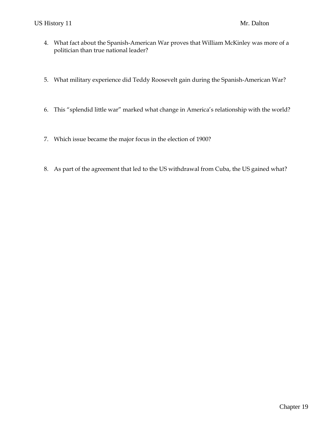- 4. What fact about the Spanish-American War proves that William McKinley was more of a politician than true national leader?
- 5. What military experience did Teddy Roosevelt gain during the Spanish-American War?
- 6. This "splendid little war" marked what change in America's relationship with the world?
- 7. Which issue became the major focus in the election of 1900?
- 8. As part of the agreement that led to the US withdrawal from Cuba, the US gained what?